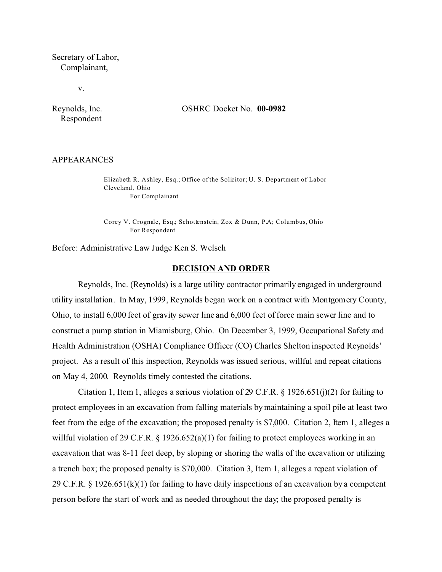Secretary of Labor, Complainant,

v.

Respondent

Reynolds, Inc. OSHRC Docket No. **00-0982** 

#### APPEARANCES

Elizabeth R. Ashley, Esq.; Office of the Solicitor; U. S. Department of Labor Cleveland , Ohio For Complainant

Corey V. Crognale, Esq.; Schottenstein, Zox & Dunn, P.A; Columbus, Ohio For Respondent

Before: Administrative Law Judge Ken S. Welsch

#### **DECISION AND ORDER**

Reynolds, Inc. (Reynolds) is a large utility contractor primarily engaged in underground utility installation. In May, 1999, Reynolds began work on a contract with Montgomery County, Ohio, to install 6,000 feet of gravity sewer line and 6,000 feet of force main sewer line and to construct a pump station in Miamisburg, Ohio. On December 3, 1999, Occupational Safety and Health Administration (OSHA) Compliance Officer (CO) Charles Shelton inspected Reynolds' project. As a result of this inspection, Reynolds was issued serious, willful and repeat citations on May 4, 2000. Reynolds timely contested the citations.

Citation 1, Item 1, alleges a serious violation of 29 C.F.R.  $\S$  1926.651(j)(2) for failing to protect employees in an excavation from falling materials by maintaining a spoil pile at least two feet from the edge of the excavation; the proposed penalty is \$7,000. Citation 2, Item 1, alleges a willful violation of 29 C.F.R.  $\S$  1926.652(a)(1) for failing to protect employees working in an excavation that was 8-11 feet deep, by sloping or shoring the walls of the excavation or utilizing a trench box; the proposed penalty is \$70,000. Citation 3, Item 1, alleges a repeat violation of 29 C.F.R. § 1926.651(k)(1) for failing to have daily inspections of an excavation by a competent person before the start of work and as needed throughout the day; the proposed penalty is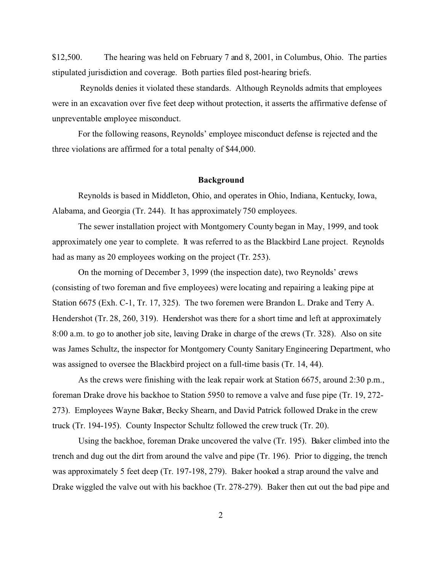\$12,500. The hearing was held on February 7 and 8, 2001, in Columbus, Ohio. The parties stipulated jurisdiction and coverage. Both parties filed post-hearing briefs.

Reynolds denies it violated these standards. Although Reynolds admits that employees were in an excavation over five feet deep without protection, it asserts the affirmative defense of unpreventable employee misconduct.

For the following reasons, Reynolds' employee misconduct defense is rejected and the three violations are affirmed for a total penalty of \$44,000.

#### **Background**

Reynolds is based in Middleton, Ohio, and operates in Ohio, Indiana, Kentucky, Iowa, Alabama, and Georgia (Tr. 244). It has approximately 750 employees.

The sewer installation project with Montgomery County began in May, 1999, and took approximately one year to complete. It was referred to as the Blackbird Lane project. Reynolds had as many as 20 employees working on the project (Tr. 253).

On the morning of December 3, 1999 (the inspection date), two Reynolds' crews (consisting of two foreman and five employees) were locating and repairing a leaking pipe at Station 6675 (Exh. C-1, Tr. 17, 325). The two foremen were Brandon L. Drake and Terry A. Hendershot (Tr. 28, 260, 319). Hendershot was there for a short time and left at approximately 8:00 a.m. to go to another job site, leaving Drake in charge of the crews (Tr. 328). Also on site was James Schultz, the inspector for Montgomery County Sanitary Engineering Department, who was assigned to oversee the Blackbird project on a full-time basis (Tr. 14, 44).

As the crews were finishing with the leak repair work at Station 6675, around 2:30 p.m., foreman Drake drove his backhoe to Station 5950 to remove a valve and fuse pipe (Tr. 19, 272- 273). Employees Wayne Baker, Becky Shearn, and David Patrick followed Drake in the crew truck (Tr. 194-195). County Inspector Schultz followed the crew truck (Tr. 20).

Using the backhoe, foreman Drake uncovered the valve (Tr. 195). Baker climbed into the trench and dug out the dirt from around the valve and pipe (Tr. 196). Prior to digging, the trench was approximately 5 feet deep (Tr. 197-198, 279). Baker hooked a strap around the valve and Drake wiggled the valve out with his backhoe (Tr. 278-279). Baker then cut out the bad pipe and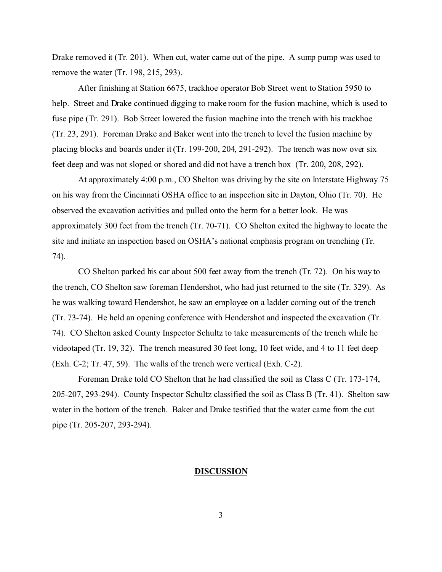Drake removed it (Tr. 201). When cut, water came out of the pipe. A sump pump was used to remove the water (Tr. 198, 215, 293).

After finishing at Station 6675, trackhoe operator Bob Street went to Station 5950 to help. Street and Drake continued digging to make room for the fusion machine, which is used to fuse pipe (Tr. 291). Bob Street lowered the fusion machine into the trench with his trackhoe (Tr. 23, 291). Foreman Drake and Baker went into the trench to level the fusion machine by placing blocks and boards under it (Tr. 199-200, 204, 291-292). The trench was now over six feet deep and was not sloped or shored and did not have a trench box (Tr. 200, 208, 292).

At approximately 4:00 p.m., CO Shelton was driving by the site on Interstate Highway 75 on his way from the Cincinnati OSHA office to an inspection site in Dayton, Ohio (Tr. 70). He observed the excavation activities and pulled onto the berm for a better look. He was approximately 300 feet from the trench (Tr. 70-71). CO Shelton exited the highway to locate the site and initiate an inspection based on OSHA's national emphasis program on trenching (Tr. 74).

CO Shelton parked his car about 500 feet away from the trench (Tr. 72). On his way to the trench, CO Shelton saw foreman Hendershot, who had just returned to the site (Tr. 329). As he was walking toward Hendershot, he saw an employee on a ladder coming out of the trench (Tr. 73-74). He held an opening conference with Hendershot and inspected the excavation (Tr. 74). CO Shelton asked County Inspector Schultz to take measurements of the trench while he videotaped (Tr. 19, 32). The trench measured 30 feet long, 10 feet wide, and 4 to 11 feet deep (Exh. C-2; Tr. 47, 59). The walls of the trench were vertical (Exh. C-2).

Foreman Drake told CO Shelton that he had classified the soil as Class C (Tr. 173-174, 205-207, 293-294). County Inspector Schultz classified the soil as Class B (Tr. 41). Shelton saw water in the bottom of the trench. Baker and Drake testified that the water came from the cut pipe (Tr. 205-207, 293-294).

#### **DISCUSSION**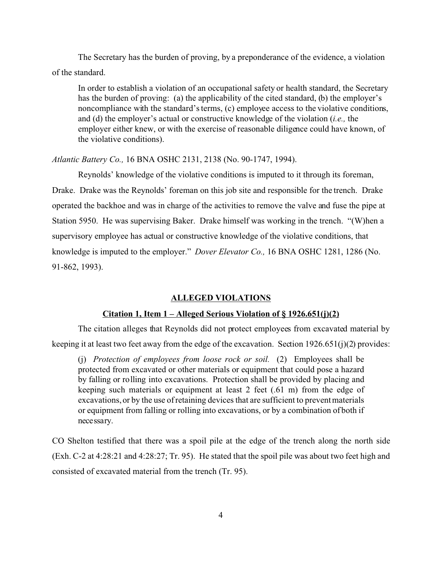The Secretary has the burden of proving, by a preponderance of the evidence, a violation of the standard.

In order to establish a violation of an occupational safety or health standard, the Secretary has the burden of proving: (a) the applicability of the cited standard, (b) the employer's noncompliance with the standard's terms, (c) employee access to the violative conditions, and (d) the employer's actual or constructive knowledge of the violation (*i.e.,* the employer either knew, or with the exercise of reasonable diligence could have known, of the violative conditions).

*Atlantic Battery Co.,* 16 BNA OSHC 2131, 2138 (No. 90-1747, 1994).

Reynolds' knowledge of the violative conditions is imputed to it through its foreman, Drake. Drake was the Reynolds' foreman on this job site and responsible for the trench. Drake operated the backhoe and was in charge of the activities to remove the valve and fuse the pipe at Station 5950. He was supervising Baker. Drake himself was working in the trench. "(W)hen a supervisory employee has actual or constructive knowledge of the violative conditions, that knowledge is imputed to the employer." *Dover Elevator Co.,* 16 BNA OSHC 1281, 1286 (No. 91-862, 1993).

#### **ALLEGED VIOLATIONS**

#### **Citation 1, Item 1 – Alleged Serious Violation of § 1926.651(j)(2)**

The citation alleges that Reynolds did not protect employees from excavated material by keeping it at least two feet away from the edge of the excavation. Section 1926.651(j)(2) provides:

(j) *Protection of employees from loose rock or soil.* (2) Employees shall be protected from excavated or other materials or equipment that could pose a hazard by falling or rolling into excavations. Protection shall be provided by placing and keeping such materials or equipment at least 2 feet (.61 m) from the edge of excavations, or by the use of retaining devices that are sufficient to prevent materials or equipment from falling or rolling into excavations, or by a combination of both if necessary.

CO Shelton testified that there was a spoil pile at the edge of the trench along the north side (Exh. C-2 at 4:28:21 and 4:28:27; Tr. 95). He stated that the spoil pile was about two feet high and consisted of excavated material from the trench (Tr. 95).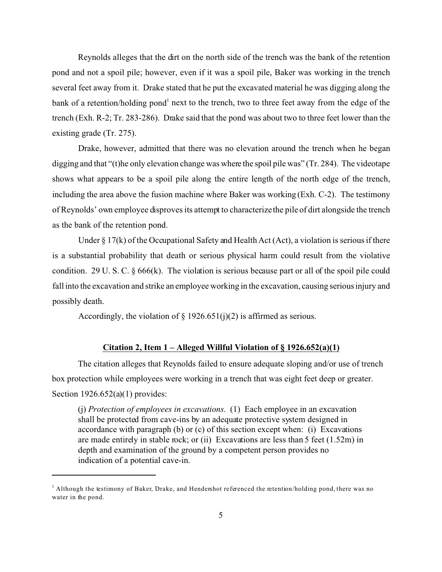Reynolds alleges that the dirt on the north side of the trench was the bank of the retention pond and not a spoil pile; however, even if it was a spoil pile, Baker was working in the trench several feet away from it. Drake stated that he put the excavated material he was digging along the bank of a retention/holding pond<sup>1</sup> next to the trench, two to three feet away from the edge of the trench (Exh. R-2; Tr. 283-286). Drake said that the pond was about two to three feet lower than the existing grade (Tr. 275).

Drake, however, admitted that there was no elevation around the trench when he began digging and that "(t)he only elevation change was where the spoil pile was" (Tr. 284). The videotape shows what appears to be a spoil pile along the entire length of the north edge of the trench, including the area above the fusion machine where Baker was working (Exh. C-2). The testimony of Reynolds' own employee disproves its attempt to characterizethe pile of dirt alongside the trench as the bank of the retention pond.

Under  $\S 17(k)$  of the Occupational Safety and Health Act (Act), a violation is serious if there is a substantial probability that death or serious physical harm could result from the violative condition. 29 U. S. C. § 666(k). The violation is serious because part or all of the spoil pile could fall into the excavation and strike an employee working in the excavation, causing serious injury and possibly death.

Accordingly, the violation of  $\S$  1926.651(j)(2) is affirmed as serious.

## **Citation 2, Item 1 – Alleged Willful Violation of § 1926.652(a)(1)**

The citation alleges that Reynolds failed to ensure adequate sloping and/or use of trench box protection while employees were working in a trench that was eight feet deep or greater. Section 1926.652(a)(1) provides:

(j) *Protection of employees in excavations*. (1) Each employee in an excavation shall be protected from cave-ins by an adequate protective system designed in accordance with paragraph (b) or (c) of this section except when: (i) Excavations are made entirely in stable rock; or (ii) Excavations are less than 5 feet (1.52m) in depth and examination of the ground by a competent person provides no indication of a potential cave-in.

<sup>&</sup>lt;sup>1</sup> Although the testimony of Baker, Drake, and Hendershot referenced the retention/holding pond, there was no water in the pond.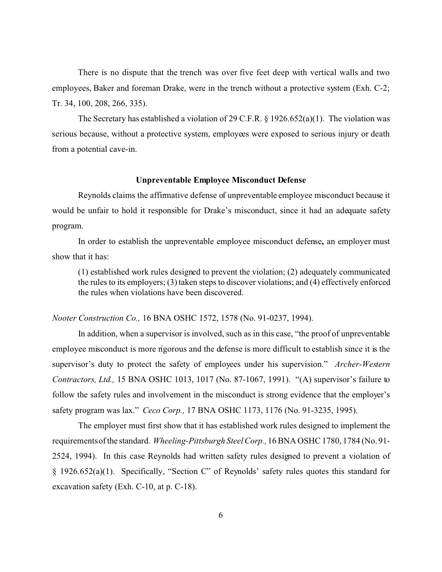There is no dispute that the trench was over five feet deep with vertical walls and two employees, Baker and foreman Drake, were in the trench without a protective system (Exh. C-2; Tr. 34, 100, 208, 266, 335).

The Secretary has established a violation of 29 C.F.R. § 1926.652(a)(1). The violation was serious because, without a protective system, employees were exposed to serious injury or death from a potential cave-in.

### **Unpreventable Employee Misconduct Defense**

Reynolds claims the affirmative defense of unpreventable employee misconduct because it would be unfair to hold it responsible for Drake's misconduct, since it had an adequate safety program.

In order to establish the unpreventable employee misconduct defense**,** an employer must show that it has:

(1) established work rules designed to prevent the violation; (2) adequately communicated the rules to its employers; (3) taken steps to discover violations; and (4) effectively enforced the rules when violations have been discovered.

*Nooter Construction Co.,* 16 BNA OSHC 1572, 1578 (No. 91-0237, 1994).

In addition, when a supervisor is involved, such as in this case, "the proof of unpreventable employee misconduct is more rigorous and the defense is more difficult to establish since it is the supervisor's duty to protect the safety of employees under his supervision." *Archer-Western Contractors, Ltd.,* 15 BNA OSHC 1013, 1017 (No. 87-1067, 1991). "(A) supervisor's failure to follow the safety rules and involvement in the misconduct is strong evidence that the employer's safety program was lax." *Ceco Corp.,* 17 BNA OSHC 1173, 1176 (No. 91-3235, 1995).

The employer must first show that it has established work rules designed to implement the requirementsof the standard. *Wheeling-Pittsburgh Steel Corp.,* 16 BNA OSHC 1780, 1784 (No. 91- 2524, 1994). In this case Reynolds had written safety rules designed to prevent a violation of § 1926.652(a)(1). Specifically, "Section C" of Reynolds' safety rules quotes this standard for excavation safety (Exh. C-10, at p. C-18).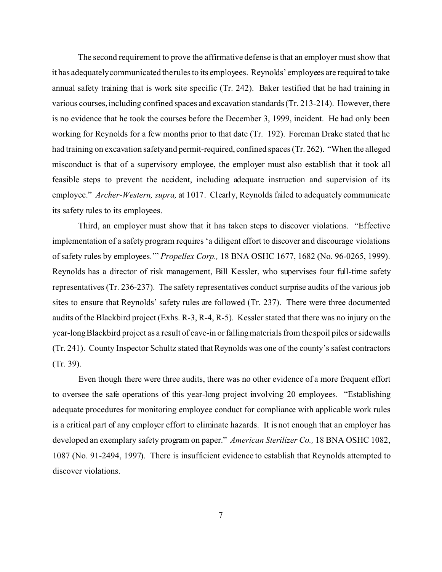The second requirement to prove the affirmative defense is that an employer must show that it has adequatelycommunicated therules to its employees. Reynolds' employees are required to take annual safety training that is work site specific (Tr. 242). Baker testified that he had training in various courses, including confined spaces and excavation standards (Tr. 213-214). However, there is no evidence that he took the courses before the December 3, 1999, incident. He had only been working for Reynolds for a few months prior to that date (Tr. 192). Foreman Drake stated that he had training on excavation safetyand permit-required, confined spaces (Tr. 262). "When the alleged misconduct is that of a supervisory employee, the employer must also establish that it took all feasible steps to prevent the accident, including adequate instruction and supervision of its employee." *Archer-Western, supra,* at 1017. Clearly, Reynolds failed to adequately communicate its safety rules to its employees.

Third, an employer must show that it has taken steps to discover violations. "Effective implementation of a safety program requires 'a diligent effort to discover and discourage violations of safety rules by employees.'" *Propellex Corp.,* 18 BNA OSHC 1677, 1682 (No. 96-0265, 1999). Reynolds has a director of risk management, Bill Kessler, who supervises four full-time safety representatives (Tr. 236-237). The safety representatives conduct surprise audits of the various job sites to ensure that Reynolds' safety rules are followed (Tr. 237). There were three documented audits of the Blackbird project (Exhs. R-3, R-4, R-5). Kessler stated that there was no injury on the year-long Blackbird project as a result of cave-in or falling materials from thespoil piles or sidewalls (Tr. 241). County Inspector Schultz stated that Reynolds was one of the county's safest contractors (Tr. 39).

Even though there were three audits, there was no other evidence of a more frequent effort to oversee the safe operations of this year-long project involving 20 employees. "Establishing adequate procedures for monitoring employee conduct for compliance with applicable work rules is a critical part of any employer effort to eliminate hazards. It is not enough that an employer has developed an exemplary safety program on paper." *American Sterilizer Co.,* 18 BNA OSHC 1082, 1087 (No. 91-2494, 1997). There is insufficient evidence to establish that Reynolds attempted to discover violations.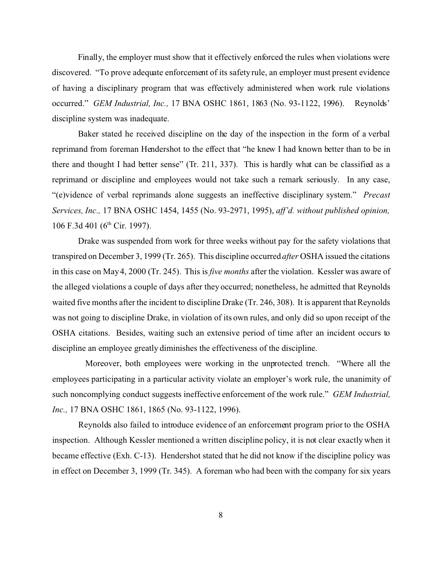Finally, the employer must show that it effectively enforced the rules when violations were discovered. "To prove adequate enforcement of its safety rule, an employer must present evidence of having a disciplinary program that was effectively administered when work rule violations occurred." *GEM Industrial, Inc.,* 17 BNA OSHC 1861, 1863 (No. 93-1122, 1996). Reynolds' discipline system was inadequate.

Baker stated he received discipline on the day of the inspection in the form of a verbal reprimand from foreman Hendershot to the effect that "he knew I had known better than to be in there and thought I had better sense" (Tr. 211, 337). This is hardly what can be classified as a reprimand or discipline and employees would not take such a remark seriously. In any case, "(e)vidence of verbal reprimands alone suggests an ineffective disciplinary system." *Precast Services, Inc.,* 17 BNA OSHC 1454, 1455 (No. 93-2971, 1995), *aff'd. without published opinion,*  106 F.3d 401 (6<sup>th</sup> Cir. 1997).

Drake was suspended from work for three weeks without pay for the safety violations that transpired on December 3, 1999 (Tr. 265). This discipline occurred *after* OSHA issued the citations in this case on May 4, 2000 (Tr. 245). This is *five months* after the violation. Kessler was aware of the alleged violations a couple of days after they occurred; nonetheless, he admitted that Reynolds waited five months after the incident to discipline Drake (Tr. 246, 308). It is apparent that Reynolds was not going to discipline Drake, in violation of its own rules, and only did so upon receipt of the OSHA citations. Besides, waiting such an extensive period of time after an incident occurs to discipline an employee greatly diminishes the effectiveness of the discipline.

Moreover, both employees were working in the unprotected trench. "Where all the employees participating in a particular activity violate an employer's work rule, the unanimity of such noncomplying conduct suggests ineffective enforcement of the work rule." *GEM Industrial, Inc.,* 17 BNA OSHC 1861, 1865 (No. 93-1122, 1996).

Reynolds also failed to introduce evidence of an enforcement program prior to the OSHA inspection. Although Kessler mentioned a written discipline policy, it is not clear exactly when it became effective (Exh. C-13). Hendershot stated that he did not know if the discipline policy was in effect on December 3, 1999 (Tr. 345). A foreman who had been with the company for six years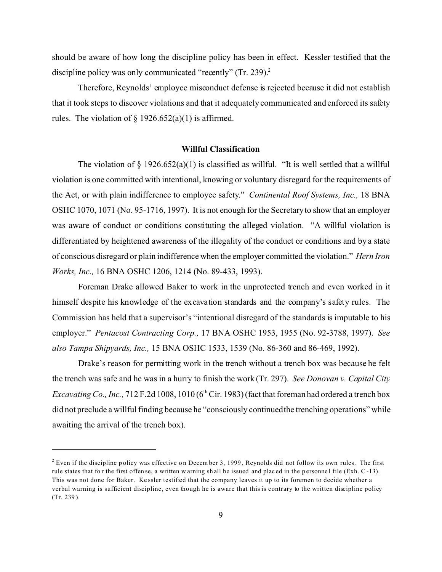should be aware of how long the discipline policy has been in effect. Kessler testified that the discipline policy was only communicated "recently" (Tr. 239).<sup>2</sup>

Therefore, Reynolds' employee misconduct defense is rejected because it did not establish that it took steps to discover violations and that it adequately communicated and enforced its safety rules. The violation of  $\S 1926.652(a)(1)$  is affirmed.

#### **Willful Classification**

The violation of  $\S$  1926.652(a)(1) is classified as willful. "It is well settled that a willful violation is one committed with intentional, knowing or voluntary disregard for the requirements of the Act, or with plain indifference to employee safety." *Continental Roof Systems, Inc.,* 18 BNA OSHC 1070, 1071 (No. 95-1716, 1997). It is not enough for the Secretary to show that an employer was aware of conduct or conditions constituting the alleged violation. "A willful violation is differentiated by heightened awareness of the illegality of the conduct or conditions and by a state of conscious disregard or plain indifference when the employer committed the violation." *Hern Iron Works, Inc.,* 16 BNA OSHC 1206, 1214 (No. 89-433, 1993).

Foreman Drake allowed Baker to work in the unprotected trench and even worked in it himself despite his knowledge of the excavation standards and the company's safety rules. The Commission has held that a supervisor's "intentional disregard of the standards is imputable to his employer." *Pentacost Contracting Corp.,* 17 BNA OSHC 1953, 1955 (No. 92-3788, 1997). *See also Tampa Shipyards, Inc.,* 15 BNA OSHC 1533, 1539 (No. 86-360 and 86-469, 1992).

Drake's reason for permitting work in the trench without a trench box was because he felt the trench was safe and he was in a hurry to finish the work (Tr. 297). *See Donovan v. Capital City Excavating Co., Inc.,*  $712$  F.2d 1008,  $1010$  ( $6<sup>th</sup>$  Cir. 1983) (fact that foreman had ordered a trench box did not preclude a willful finding because he "consciously continuedthe trenching operations" while awaiting the arrival of the trench box).

 $2^{2}$  Even if the discipline policy was effective on December 3, 1999, Reynolds did not follow its own rules. The first rule states that for the first offense, a written w arning shall be issued and placed in the personnel file (Exh. C-13). This was not done for Baker. Ke ssler testified that the company leaves it up to its foremen to decide whether a verbal warning is sufficient discipline, even though he is aware that this is contrary to the written discipline policy (Tr. 239 ).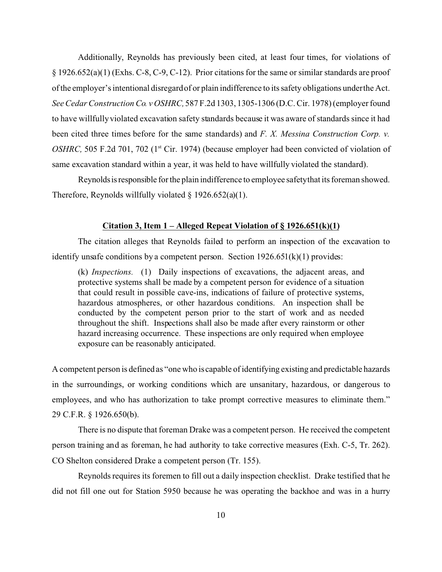Additionally, Reynolds has previously been cited, at least four times, for violations of § 1926.652(a)(1) (Exhs. C-8, C-9, C-12). Prior citations for the same or similar standards are proof of the employer's intentional disregard of or plain indifference to its safety obligations underthe Act. *See Cedar Construction Co. v OSHRC,* 587 F.2d 1303, 1305-1306 (D.C. Cir. 1978) (employer found to have willfully violated excavation safety standards because it was aware of standards since it had been cited three times before for the same standards) and *F. X. Messina Construction Corp. v. OSHRC,* 505 F.2d 701, 702 (1<sup>st</sup> Cir. 1974) (because employer had been convicted of violation of same excavation standard within a year, it was held to have willfully violated the standard).

Reynolds is responsible for the plain indifference to employee safety that its foreman showed. Therefore, Reynolds willfully violated  $\S$  1926.652(a)(1).

## **Citation 3, Item 1 – Alleged Repeat Violation of § 1926.651(k)(1)**

The citation alleges that Reynolds failed to perform an inspection of the excavation to identify unsafe conditions by a competent person. Section  $1926.651(k)(1)$  provides:

(k) *Inspections.* (1) Daily inspections of excavations, the adjacent areas, and protective systems shall be made by a competent person for evidence of a situation that could result in possible cave-ins, indications of failure of protective systems, hazardous atmospheres, or other hazardous conditions. An inspection shall be conducted by the competent person prior to the start of work and as needed throughout the shift. Inspections shall also be made after every rainstorm or other hazard increasing occurrence. These inspections are only required when employee exposure can be reasonably anticipated.

A competent person is defined as "one who is capable of identifying existing and predictable hazards in the surroundings, or working conditions which are unsanitary, hazardous, or dangerous to employees, and who has authorization to take prompt corrective measures to eliminate them." 29 C.F.R. § 1926.650(b).

There is no dispute that foreman Drake was a competent person. He received the competent person training and as foreman, he had authority to take corrective measures (Exh. C-5, Tr. 262). CO Shelton considered Drake a competent person (Tr. 155).

Reynolds requires its foremen to fill out a daily inspection checklist. Drake testified that he did not fill one out for Station 5950 because he was operating the backhoe and was in a hurry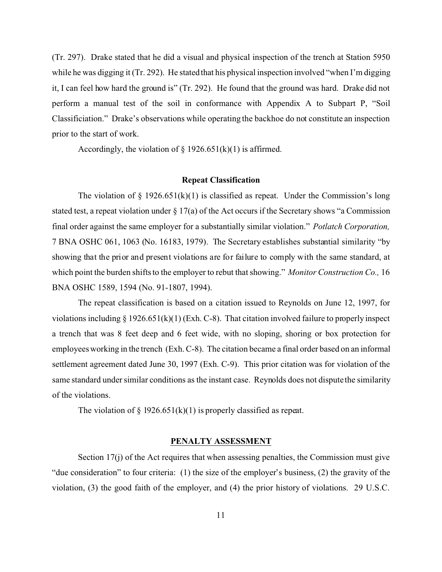(Tr. 297). Drake stated that he did a visual and physical inspection of the trench at Station 5950 while he was digging it (Tr. 292). He stated that his physical inspection involved "when I'm digging it, I can feel how hard the ground is" (Tr. 292). He found that the ground was hard. Drake did not perform a manual test of the soil in conformance with Appendix A to Subpart P, "Soil Classificiation." Drake's observations while operating the backhoe do not constitute an inspection prior to the start of work.

Accordingly, the violation of  $\S 1926.651(k)(1)$  is affirmed.

### **Repeat Classification**

The violation of  $\S 1926.651(k)(1)$  is classified as repeat. Under the Commission's long stated test, a repeat violation under § 17(a) of the Act occurs if the Secretary shows "a Commission final order against the same employer for a substantially similar violation." *Potlatch Corporation,*  7 BNA OSHC 061, 1063 (No. 16183, 1979). The Secretary establishes substantial similarity "by showing that the prior and present violations are for failure to comply with the same standard, at which point the burden shifts to the employer to rebut that showing." *Monitor Construction Co.,* 16 BNA OSHC 1589, 1594 (No. 91-1807, 1994).

The repeat classification is based on a citation issued to Reynolds on June 12, 1997, for violations including  $\S 1926.651(k)(1)$  (Exh. C-8). That citation involved failure to properly inspect a trench that was 8 feet deep and 6 feet wide, with no sloping, shoring or box protection for employees working in the trench (Exh. C-8). The citation became a final order based on an informal settlement agreement dated June 30, 1997 (Exh. C-9). This prior citation was for violation of the same standard under similar conditions as the instant case. Reynolds does not dispute the similarity of the violations.

The violation of  $\S 1926.651(k)(1)$  is properly classified as repeat.

### **PENALTY ASSESSMENT**

Section 17(j) of the Act requires that when assessing penalties, the Commission must give "due consideration" to four criteria: (1) the size of the employer's business, (2) the gravity of the violation, (3) the good faith of the employer, and (4) the prior history of violations. 29 U.S.C.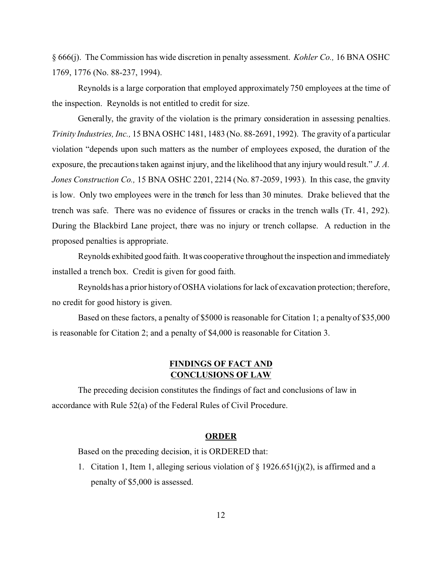§ 666(j). The Commission has wide discretion in penalty assessment. *Kohler Co.,* 16 BNA OSHC 1769, 1776 (No. 88-237, 1994).

Reynolds is a large corporation that employed approximately 750 employees at the time of the inspection. Reynolds is not entitled to credit for size.

Generally, the gravity of the violation is the primary consideration in assessing penalties. *Trinity Industries, Inc.,* 15 BNA OSHC 1481, 1483 (No. 88-2691, 1992). The gravity of a particular violation "depends upon such matters as the number of employees exposed, the duration of the exposure, the precautions taken against injury, and the likelihood that any injury would result." *J. A. Jones Construction Co.,* 15 BNA OSHC 2201, 2214 (No. 87-2059, 1993). In this case, the gravity is low. Only two employees were in the trench for less than 30 minutes. Drake believed that the trench was safe. There was no evidence of fissures or cracks in the trench walls (Tr. 41, 292). During the Blackbird Lane project, there was no injury or trench collapse. A reduction in the proposed penalties is appropriate.

Reynolds exhibited good faith. It was cooperative throughout the inspection and immediately installed a trench box. Credit is given for good faith.

Reynolds has a prior history of OSHA violations for lack of excavation protection; therefore, no credit for good history is given.

Based on these factors, a penalty of \$5000 is reasonable for Citation 1; a penalty of \$35,000 is reasonable for Citation 2; and a penalty of \$4,000 is reasonable for Citation 3.

# **FINDINGS OF FACT AND CONCLUSIONS OF LAW**

The preceding decision constitutes the findings of fact and conclusions of law in accordance with Rule 52(a) of the Federal Rules of Civil Procedure.

#### **ORDER**

Based on the preceding decision, it is ORDERED that:

1. Citation 1, Item 1, alleging serious violation of  $\S 1926.651(j)(2)$ , is affirmed and a penalty of \$5,000 is assessed.